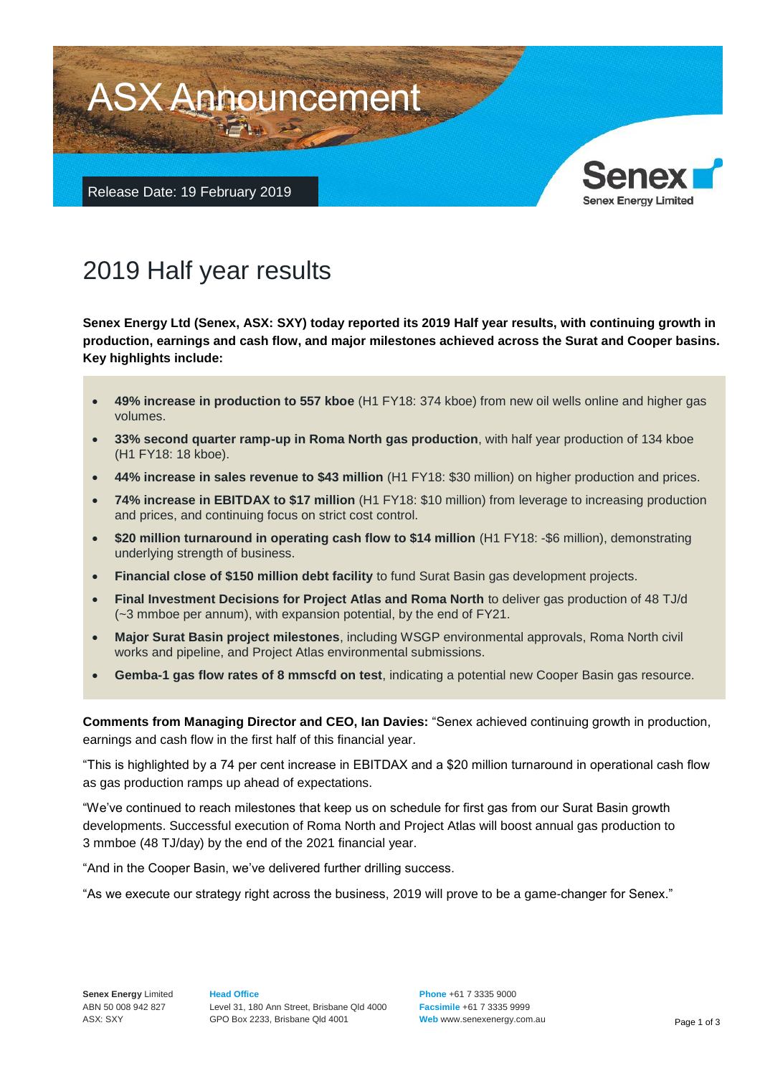

# 2019 Half year results

**Senex Energy Ltd (Senex, ASX: SXY) today reported its 2019 Half year results, with continuing growth in production, earnings and cash flow, and major milestones achieved across the Surat and Cooper basins. Key highlights include:**

- **49% increase in production to 557 kboe** (H1 FY18: 374 kboe) from new oil wells online and higher gas volumes.
- **33% second quarter ramp-up in Roma North gas production**, with half year production of 134 kboe (H1 FY18: 18 kboe).
- **44% increase in sales revenue to \$43 million** (H1 FY18: \$30 million) on higher production and prices.
- **74% increase in EBITDAX to \$17 million** (H1 FY18: \$10 million) from leverage to increasing production and prices, and continuing focus on strict cost control.
- **\$20 million turnaround in operating cash flow to \$14 million** (H1 FY18: -\$6 million), demonstrating underlying strength of business.
- **Financial close of \$150 million debt facility** to fund Surat Basin gas development projects.
- **Final Investment Decisions for Project Atlas and Roma North** to deliver gas production of 48 TJ/d (~3 mmboe per annum), with expansion potential, by the end of FY21.
- **Major Surat Basin project milestones**, including WSGP environmental approvals, Roma North civil works and pipeline, and Project Atlas environmental submissions.
- **Gemba-1 gas flow rates of 8 mmscfd on test**, indicating a potential new Cooper Basin gas resource.

**Comments from Managing Director and CEO, Ian Davies:** "Senex achieved continuing growth in production, earnings and cash flow in the first half of this financial year.

"This is highlighted by a 74 per cent increase in EBITDAX and a \$20 million turnaround in operational cash flow as gas production ramps up ahead of expectations.

"We've continued to reach milestones that keep us on schedule for first gas from our Surat Basin growth developments. Successful execution of Roma North and Project Atlas will boost annual gas production to 3 mmboe (48 TJ/day) by the end of the 2021 financial year.

"And in the Cooper Basin, we've delivered further drilling success.

"As we execute our strategy right across the business, 2019 will prove to be a game-changer for Senex."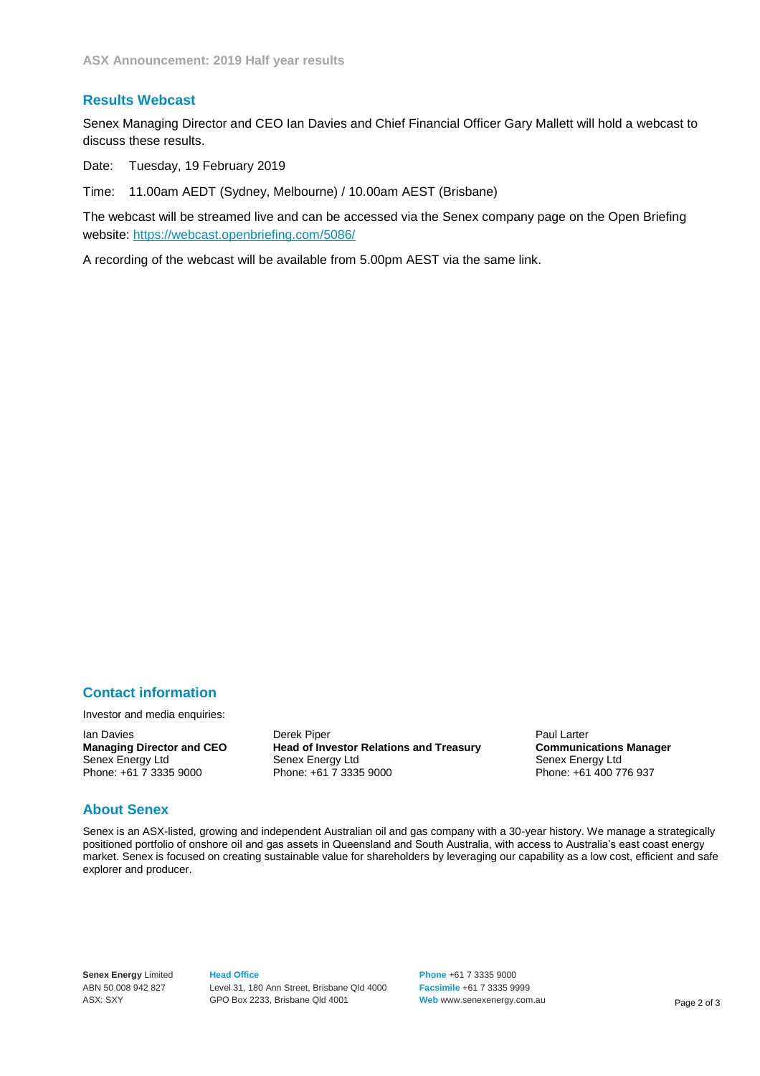#### **Results Webcast**

Senex Managing Director and CEO Ian Davies and Chief Financial Officer Gary Mallett will hold a webcast to discuss these results.

Date: Tuesday, 19 February 2019

Time: 11.00am AEDT (Sydney, Melbourne) / 10.00am AEST (Brisbane)

The webcast will be streamed live and can be accessed via the Senex company page on the Open Briefing website:<https://webcast.openbriefing.com/5086/>

A recording of the webcast will be available from 5.00pm AEST via the same link.

## **Contact information**

Investor and media enquiries:

Senex Energy Ltd<br>
Phone: +61 7 3335 9000<br>
Phone: +61 7 3335 9000<br>
Phone: +61 7 3335 9000

Ian Davies **Derek Piper Construent Derek Piper**<br> **Managing Director and CEO** Head of Investor Relations and Treasury **Communications Manager Managing Director and CEO Head of Investor Relations and Treasury Communications**<br>Senex Energy Ltd Senex Energy Ltd Senex Energy Ltd

Phone: +61 400 776 937

## **About Senex**

Senex is an ASX-listed, growing and independent Australian oil and gas company with a 30-year history. We manage a strategically positioned portfolio of onshore oil and gas assets in Queensland and South Australia, with access to Australia's east coast energy market. Senex is focused on creating sustainable value for shareholders by leveraging our capability as a low cost, efficient and safe explorer and producer.

**Senex Energy** Limited ABN 50 008 942 827 ASX: SXY

**Head Office** Level 31, 180 Ann Street, Brisbane Qld 4000 GPO Box 2233, Brisbane Qld 4001

**Phone** +61 7 3335 9000 **Facsimile** +61 7 3335 9999 Web ww[w.senexenergy.com.au](http://www.senexenergy.com.au/) Page 2 of 3